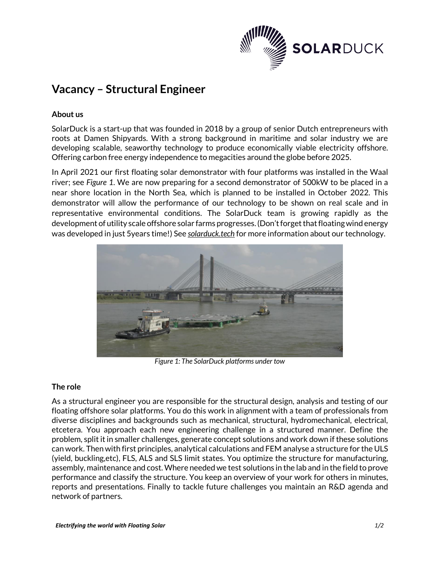

# **Vacancy – Structural Engineer**

## **About us**

SolarDuck is a start-up that was founded in 2018 by a group of senior Dutch entrepreneurs with roots at Damen Shipyards. With a strong background in maritime and solar industry we are developing scalable, seaworthy technology to produce economically viable electricity offshore. Offering carbon free energy independence to megacities around the globe before 2025.

In April 2021 our first floating solar demonstrator with four platforms was installed in the Waal river; see *[Figure 1](#page-0-0)*. We are now preparing for a second demonstrator of 500kW to be placed in a near shore location in the North Sea, which is planned to be installed in October 2022. This demonstrator will allow the performance of our technology to be shown on real scale and in representative environmental conditions. The SolarDuck team is growing rapidly as the development of utility scale offshore solar farms progresses. (Don't forget that floating wind energy was developed in just 5years time!) See *solarduck.tech* for more information about our technology.



*Figure 1: The SolarDuck platforms under tow*

## <span id="page-0-0"></span>**The role**

As a structural engineer you are responsible for the structural design, analysis and testing of our floating offshore solar platforms. You do this work in alignment with a team of professionals from diverse disciplines and backgrounds such as mechanical, structural, hydromechanical, electrical, etcetera. You approach each new engineering challenge in a structured manner. Define the problem, split it in smaller challenges, generate concept solutions and work down if these solutions can work. Then with first principles, analytical calculations and FEM analyse a structure for the ULS (yield, buckling,etc), FLS, ALS and SLS limit states. You optimize the structure for manufacturing, assembly, maintenance and cost.Where needed we test solutions in the lab and in the field to prove performance and classify the structure. You keep an overview of your work for others in minutes, reports and presentations. Finally to tackle future challenges you maintain an R&D agenda and network of partners.